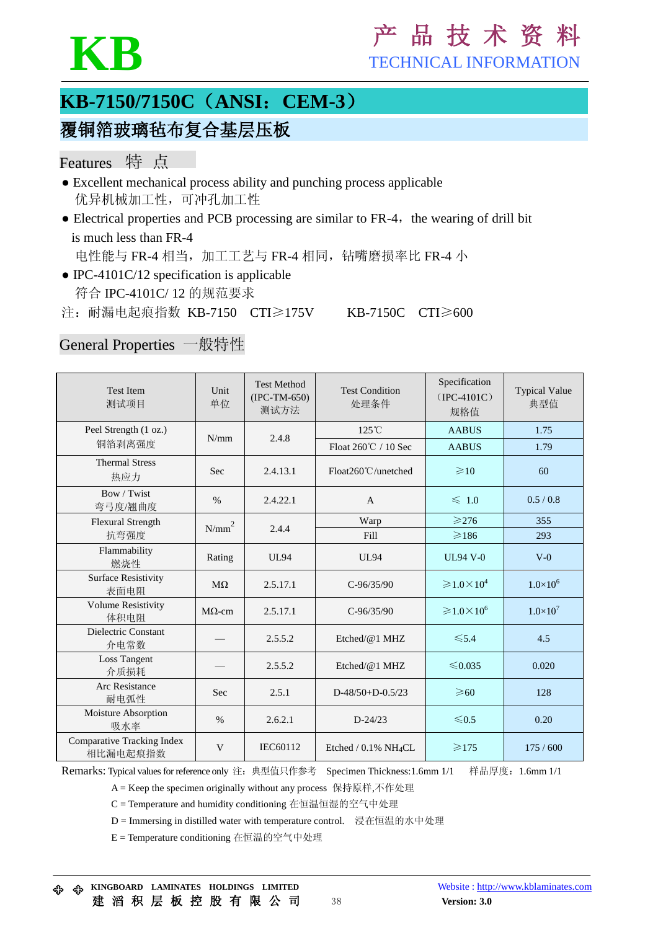

# KB FECHNICAL INFORMATION

TECHNICAL INFORMATION

## **KB-7150/7150C**(**ANSI**:**CEM-3**)

## 覆铜箔玻璃毡布复合基层压板

## Features 特 点

- Excellent mechanical process ability and punching process applicable 优异机械加工性,可冲孔加工性
- $\bullet$  Electrical properties and PCB processing are similar to FR-4, the wearing of drill bit is much less than FR-4

电性能与 FR-4 相当, 加工工艺与 FR-4 相同, 钻嘴磨损率比 FR-4 小

 $\bullet$  IPC-4101C/12 specification is applicable 符合 IPC-4101C/ 12 的规范要求

注:耐漏电起痕指数 KB-7150 CTI≥175V KB-7150C CTI≥600

## General Properties 一般特性

| <b>Test Item</b><br>测试项目               | Unit<br>单位    | <b>Test Method</b><br>$(IPC-TM-650)$<br>测试方法 | <b>Test Condition</b><br>处理条件       | Specification<br>$(IPC-4101C)$<br>规格值    | <b>Typical Value</b><br>典型值 |
|----------------------------------------|---------------|----------------------------------------------|-------------------------------------|------------------------------------------|-----------------------------|
| Peel Strength (1 oz.)                  | N/mm          | 2.4.8                                        | $125^{\circ}$ C                     | <b>AABUS</b>                             | 1.75                        |
| 铜箔剥离强度                                 |               |                                              | Float $260^{\circ}$ C / 10 Sec      | <b>AABUS</b>                             | 1.79                        |
| <b>Thermal Stress</b><br>热应力           | Sec           | 2.4.13.1                                     | Float260℃/unetched                  | $\geq 10$                                | 60                          |
| Bow / Twist<br>弯弓度/翘曲度                 | $\%$          | 2.4.22.1                                     | $\mathbf{A}$                        | $\leq 1.0$                               | 0.5/0.8                     |
| <b>Flexural Strength</b>               | $N/mm^2$      | 2.4.4                                        | Warp                                | $\geqslant$ 276                          | 355                         |
| 抗弯强度                                   |               |                                              | Fill                                | $\geqslant$ 186                          | 293                         |
| Flammability<br>燃烧性                    | Rating        | <b>UL94</b>                                  | <b>UL94</b>                         | <b>UL94 V-0</b>                          | $V-0$                       |
| <b>Surface Resistivity</b><br>表面电阻     | $M\Omega$     | 2.5.17.1                                     | $C-96/35/90$                        | $\geqslant 1.0 \times 10^4$              | $1.0\times10^{6}$           |
| <b>Volume Resistivity</b><br>体积电阻      | $M\Omega$ -cm | 2.5.17.1                                     | $C-96/35/90$                        | $\geqslant$ 1.0 $\times$ 10 <sup>6</sup> | $1.0\times10^{7}$           |
| Dielectric Constant<br>介电常数            |               | 2.5.5.2                                      | Etched/ $@1$ MHZ                    | $\leq 5.4$                               | 4.5                         |
| Loss Tangent<br>介质损耗                   |               | 2.5.5.2                                      | Etched/@1 MHZ                       | ≤0.035                                   | 0.020                       |
| <b>Arc Resistance</b><br>耐电弧性          | Sec           | 2.5.1                                        | $D-48/50+D-0.5/23$                  | $\geqslant 60$                           | 128                         |
| Moisture Absorption<br>吸水率             | $\%$          | 2.6.2.1                                      | $D-24/23$                           | $\leq 0.5$                               | 0.20                        |
| Comparative Tracking Index<br>相比漏电起痕指数 | V             | IEC60112                                     | Etched / $0.1\%$ NH <sub>4</sub> CL | $\geqslant$ 175                          | 175/600                     |

Remarks: Typical values for reference only 注:典型值只作参考 Specimen Thickness:1.6mm 1/1 样品厚度:1.6mm 1/1

A = Keep the specimen originally without any process 保持原样,不作处理

C = Temperature and humidity conditioning 在恒温恒湿的空气中处理

D = Immersing in distilled water with temperature control. 浸在恒温的水中处理

E = Temperature conditioning 在恒温的空气中处理